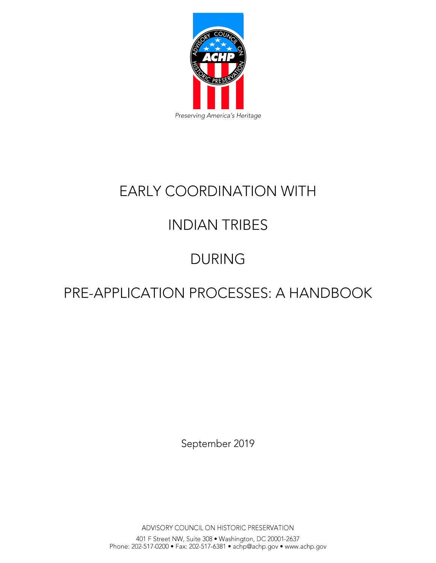

# **EARLY COORDINATION WITH**

# **INDIAN TRIBES**

# **DURING**

# PRE-APPLICATION PROCESSES: A HANDBOOK

September 2019

ADVISORY COUNCIL ON HISTORIC PRESERVATION

401 F Street NW, Suite 308 • Washington, DC 20001-2637<br>Phone: 202-517-0200 • Fax: 202-517-6381 • achp@achp.gov • www.achp.gov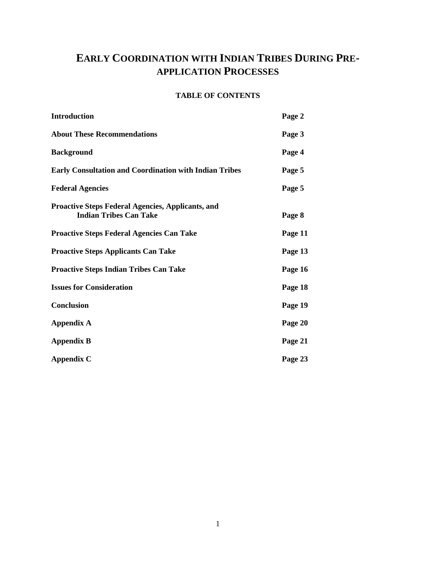# **EARLY COORDINATION WITH INDIAN TRIBES DURING PRE-APPLICATION PROCESSES**

# **TABLE OF CONTENTS**

| Introduction                                                                              | Page 2  |
|-------------------------------------------------------------------------------------------|---------|
| <b>About These Recommendations</b>                                                        | Page 3  |
| <b>Background</b>                                                                         | Page 4  |
| <b>Early Consultation and Coordination with Indian Tribes</b>                             | Page 5  |
| <b>Federal Agencies</b>                                                                   | Page 5  |
| <b>Proactive Steps Federal Agencies, Applicants, and</b><br><b>Indian Tribes Can Take</b> | Page 8  |
| <b>Proactive Steps Federal Agencies Can Take</b>                                          | Page 11 |
| <b>Proactive Steps Applicants Can Take</b>                                                | Page 13 |
| <b>Proactive Steps Indian Tribes Can Take</b>                                             | Page 16 |
| <b>Issues for Consideration</b>                                                           | Page 18 |
| <b>Conclusion</b>                                                                         | Page 19 |
| <b>Appendix A</b>                                                                         | Page 20 |
| <b>Appendix B</b>                                                                         | Page 21 |
| <b>Appendix C</b>                                                                         | Page 23 |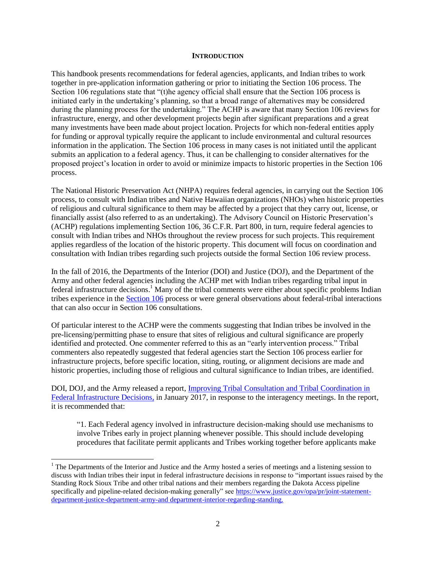#### **INTRODUCTION**

This handbook presents recommendations for federal agencies, applicants, and Indian tribes to work together in pre-application information gathering or prior to initiating the Section 106 process. The Section 106 regulations state that "(t)he agency official shall ensure that the Section 106 process is initiated early in the undertaking's planning, so that a broad range of alternatives may be considered during the planning process for the undertaking." The ACHP is aware that many Section 106 reviews for infrastructure, energy, and other development projects begin after significant preparations and a great many investments have been made about project location. Projects for which non-federal entities apply for funding or approval typically require the applicant to include environmental and cultural resources information in the application. The Section 106 process in many cases is not initiated until the applicant submits an application to a federal agency. Thus, it can be challenging to consider alternatives for the proposed project's location in order to avoid or minimize impacts to historic properties in the Section 106 process.

The National Historic Preservation Act (NHPA) requires federal agencies, in carrying out the Section 106 process, to consult with Indian tribes and Native Hawaiian organizations (NHOs) when historic properties of religious and cultural significance to them may be affected by a project that they carry out, license, or financially assist (also referred to as an undertaking). The Advisory Council on Historic Preservation's (ACHP) regulations implementing Section 106, 36 C.F.R. Part 800, in turn, require federal agencies to consult with Indian tribes and NHOs throughout the review process for such projects. This requirement applies regardless of the location of the historic property. This document will focus on coordination and consultation with Indian tribes regarding such projects outside the formal Section 106 review process.

In the fall of 2016, the Departments of the Interior (DOI) and Justice (DOJ), and the Department of the Army and other federal agencies including the ACHP met with Indian tribes regarding tribal input in federal infrastructure decisions.<sup>1</sup> Many of the tribal comments were either about specific problems Indian tribes experience in the [Section 106](https://www.achp.gov/protecting-historic-properties) process or were general observations about federal-tribal interactions that can also occur in Section 106 consultations.

Of particular interest to the ACHP were the comments suggesting that Indian tribes be involved in the pre-licensing/permitting phase to ensure that sites of religious and cultural significance are properly identified and protected. One commenter referred to this as an "early intervention process." Tribal commenters also repeatedly suggested that federal agencies start the Section 106 process earlier for infrastructure projects, before specific location, siting, routing, or alignment decisions are made and historic properties, including those of religious and cultural significance to Indian tribes, are identified.

DOI, DOJ, and the Army released a report, [Improving Tribal Consultation and Tribal Coordination in](https://www.achp.gov/sites/default/files/reports/2018-06/ImprovingTribalConsultationandTribalInvolvementinFederalInfrastructureDecisionsJanuary2017.pdf)  [Federal Infrastructure Decisions](https://www.achp.gov/sites/default/files/reports/2018-06/ImprovingTribalConsultationandTribalInvolvementinFederalInfrastructureDecisionsJanuary2017.pdf)*,* in January 2017, in response to the interagency meetings. In the report, it is recommended that:

"1. Each Federal agency involved in infrastructure decision-making should use mechanisms to involve Tribes early in project planning whenever possible. This should include developing procedures that facilitate permit applicants and Tribes working together before applicants make

 $<sup>1</sup>$  The Departments of the Interior and Justice and the Army hosted a series of meetings and a listening session to</sup> discuss with Indian tribes their input in federal infrastructure decisions in response to "important issues raised by the Standing Rock Sioux Tribe and other tribal nations and their members regarding the Dakota Access pipeline specifically and pipeline-related decision-making generally" see [https://www.justice.gov/opa/pr/joint-statement](https://www.justice.gov/opa/pr/joint-statement-department-justice-department-army-and)[department-justice-department-army-and department-interior-regarding-standing.](https://www.justice.gov/opa/pr/joint-statement-department-justice-department-army-and)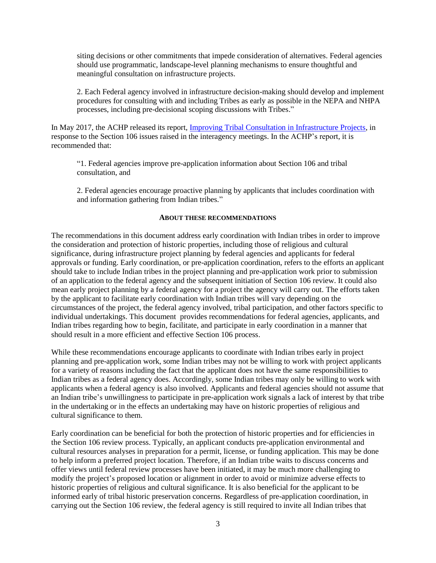siting decisions or other commitments that impede consideration of alternatives. Federal agencies should use programmatic, landscape-level planning mechanisms to ensure thoughtful and meaningful consultation on infrastructure projects.

2. Each Federal agency involved in infrastructure decision-making should develop and implement procedures for consulting with and including Tribes as early as possible in the NEPA and NHPA processes, including pre-decisional scoping discussions with Tribes."

In May 2017, the ACHP released its report, [Improving Tribal Consultation in Infrastructure Projects,](https://www.achp.gov/sites/default/files/reports/2018-06/ImprovingTribalConsultationinInfrastructureProjectsFinalApril272017.pdf) in response to the Section 106 issues raised in the interagency meetings. In the ACHP's report, it is recommended that:

"1. Federal agencies improve pre-application information about Section 106 and tribal consultation, and

2. Federal agencies encourage proactive planning by applicants that includes coordination with and information gathering from Indian tribes."

#### **ABOUT THESE RECOMMENDATIONS**

The recommendations in this document address early coordination with Indian tribes in order to improve the consideration and protection of historic properties, including those of religious and cultural significance, during infrastructure project planning by federal agencies and applicants for federal approvals or funding. Early coordination, or pre-application coordination, refers to the efforts an applicant should take to include Indian tribes in the project planning and pre-application work prior to submission of an application to the federal agency and the subsequent initiation of Section 106 review. It could also mean early project planning by a federal agency for a project the agency will carry out. The efforts taken by the applicant to facilitate early coordination with Indian tribes will vary depending on the circumstances of the project, the federal agency involved, tribal participation, and other factors specific to individual undertakings. This document provides recommendations for federal agencies, applicants, and Indian tribes regarding how to begin, facilitate, and participate in early coordination in a manner that should result in a more efficient and effective Section 106 process.

While these recommendations encourage applicants to coordinate with Indian tribes early in project planning and pre-application work, some Indian tribes may not be willing to work with project applicants for a variety of reasons including the fact that the applicant does not have the same responsibilities to Indian tribes as a federal agency does. Accordingly, some Indian tribes may only be willing to work with applicants when a federal agency is also involved. Applicants and federal agencies should not assume that an Indian tribe's unwillingness to participate in pre-application work signals a lack of interest by that tribe in the undertaking or in the effects an undertaking may have on historic properties of religious and cultural significance to them.

Early coordination can be beneficial for both the protection of historic properties and for efficiencies in the Section 106 review process. Typically, an applicant conducts pre-application environmental and cultural resources analyses in preparation for a permit, license, or funding application. This may be done to help inform a preferred project location. Therefore, if an Indian tribe waits to discuss concerns and offer views until federal review processes have been initiated, it may be much more challenging to modify the project's proposed location or alignment in order to avoid or minimize adverse effects to historic properties of religious and cultural significance. It is also beneficial for the applicant to be informed early of tribal historic preservation concerns. Regardless of pre-application coordination, in carrying out the Section 106 review, the federal agency is still required to invite all Indian tribes that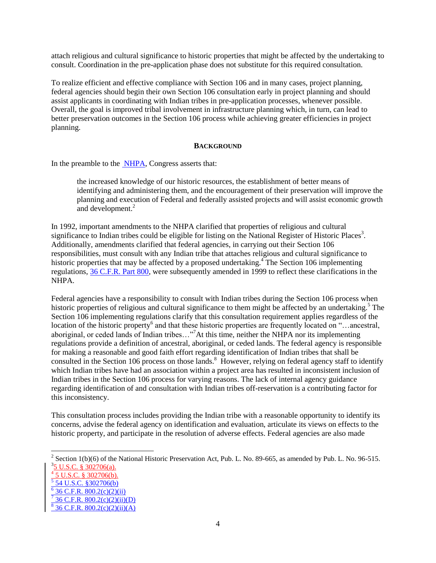attach religious and cultural significance to historic properties that might be affected by the undertaking to consult. Coordination in the pre-application phase does not substitute for this required consultation.

To realize efficient and effective compliance with Section 106 and in many cases, project planning, federal agencies should begin their own Section 106 consultation early in project planning and should assist applicants in coordinating with Indian tribes in pre-application processes, whenever possible. Overall, the goal is improved tribal involvement in infrastructure planning which, in turn, can lead to better preservation outcomes in the Section 106 process while achieving greater efficiencies in project planning.

#### **BACKGROUND**

In the preamble to the [NHPA,](https://www.achp.gov/sites/default/files/2018-06/nhpa.pdf) Congress asserts that:

the increased knowledge of our historic resources, the establishment of better means of identifying and administering them, and the encouragement of their preservation will improve the planning and execution of Federal and federally assisted projects and will assist economic growth and development.<sup>2</sup>

In 1992, important amendments to the NHPA clarified that properties of religious and cultural significance to Indian tribes could be eligible for listing on the National Register of Historic Places<sup>3</sup>. Additionally, amendments clarified that federal agencies, in carrying out their Section 106 responsibilities, must consult with any Indian tribe that attaches religious and cultural significance to historic properties that may be affected by a proposed undertaking.<sup>4</sup> The Section 106 implementing regulations, [36 C.F.R. Part 800,](https://www.achp.gov/sites/default/files/regulations/2017-02/regs-rev04.pdf) were subsequently amended in 1999 to reflect these clarifications in the NHPA.

Federal agencies have a responsibility to consult with Indian tribes during the Section 106 process when historic properties of religious and cultural significance to them might be affected by an undertaking.<sup>5</sup> The Section 106 implementing regulations clarify that this consultation requirement applies regardless of the location of the historic property<sup>6</sup> and that these historic properties are frequently located on "...ancestral, aboriginal, or ceded lands of Indian tribes…"<sup>7</sup>At this time, neither the NHPA nor its implementing regulations provide a definition of ancestral, aboriginal, or ceded lands. The federal agency is responsible for making a reasonable and good faith effort regarding identification of Indian tribes that shall be consulted in the Section 106 process on those lands.<sup>8</sup> However, relying on federal agency staff to identify which Indian tribes have had an association within a project area has resulted in inconsistent inclusion of Indian tribes in the Section 106 process for varying reasons. The lack of internal agency guidance regarding identification of and consultation with Indian tribes off-reservation is a contributing factor for this inconsistency.

This consultation process includes providing the Indian tribe with a reasonable opportunity to identify its concerns, advise the federal agency on identification and evaluation, articulate its views on effects to the historic property, and participate in the resolution of adverse effects. Federal agencies are also made

<sup>&</sup>lt;sup>2</sup> Section 1(b)(6) of the National Historic Preservation Act, Pub. L. No. 89-665, as amended by Pub. L. No. 96-515.  $3\frac{5 \text{ U.S.C. } }{302706(a)}$ .

<sup>4</sup> 5 U.S.C. § 302706(b).

<sup>&</sup>lt;sup>5</sup> 54 U.S.C. §302706(b)

 $6$  36 C.F.R. 800.2(c)(2)(ii)

<sup>7</sup> 36 C.F.R.  $800.2(c)(2)(ii)(D)$ 

 $8^{8}$  36 C.F.R. 800.2(c)(2)(ii)(A)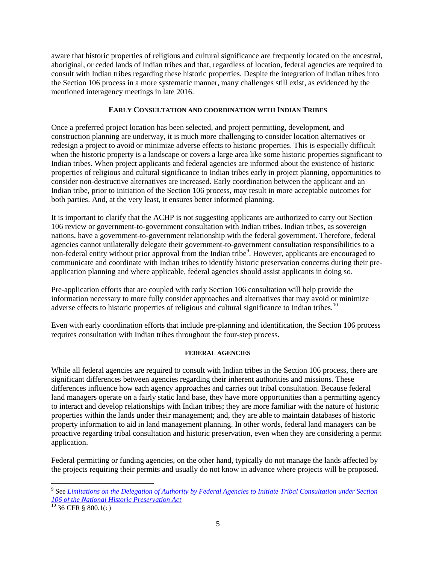aware that historic properties of religious and cultural significance are frequently located on the ancestral, aboriginal, or ceded lands of Indian tribes and that, regardless of location, federal agencies are required to consult with Indian tribes regarding these historic properties. Despite the integration of Indian tribes into the Section 106 process in a more systematic manner, many challenges still exist, as evidenced by the mentioned interagency meetings in late 2016.

### **EARLY CONSULTATION AND COORDINATION WITH INDIAN TRIBES**

Once a preferred project location has been selected, and project permitting, development, and construction planning are underway, it is much more challenging to consider location alternatives or redesign a project to avoid or minimize adverse effects to historic properties. This is especially difficult when the historic property is a landscape or covers a large area like some historic properties significant to Indian tribes. When project applicants and federal agencies are informed about the existence of historic properties of religious and cultural significance to Indian tribes early in project planning, opportunities to consider non-destructive alternatives are increased. Early coordination between the applicant and an Indian tribe, prior to initiation of the Section 106 process, may result in more acceptable outcomes for both parties. And, at the very least, it ensures better informed planning.

It is important to clarify that the ACHP is not suggesting applicants are authorized to carry out Section 106 review or government-to-government consultation with Indian tribes. Indian tribes, as sovereign nations, have a government-to-government relationship with the federal government. Therefore, federal agencies cannot unilaterally delegate their government-to-government consultation responsibilities to a non-federal entity without prior approval from the Indian tribe<sup>9</sup>. However, applicants are encouraged to communicate and coordinate with Indian tribes to identify historic preservation concerns during their preapplication planning and where applicable, federal agencies should assist applicants in doing so.

Pre-application efforts that are coupled with early Section 106 consultation will help provide the information necessary to more fully consider approaches and alternatives that may avoid or minimize adverse effects to historic properties of religious and cultural significance to Indian tribes.<sup>10</sup>

Even with early coordination efforts that include pre-planning and identification, the Section 106 process requires consultation with Indian tribes throughout the four-step process.

#### **FEDERAL AGENCIES**

While all federal agencies are required to consult with Indian tribes in the Section 106 process, there are significant differences between agencies regarding their inherent authorities and missions. These differences influence how each agency approaches and carries out tribal consultation. Because federal land managers operate on a fairly static land base, they have more opportunities than a permitting agency to interact and develop relationships with Indian tribes; they are more familiar with the nature of historic properties within the lands under their management; and, they are able to maintain databases of historic property information to aid in land management planning. In other words, federal land managers can be proactive regarding tribal consultation and historic preservation, even when they are considering a permit application.

Federal permitting or funding agencies, on the other hand, typically do not manage the lands affected by the projects requiring their permits and usually do not know in advance where projects will be proposed.

<sup>&</sup>lt;sup>9</sup> See *Limitations on the Delegation of Authority by Federal Agencies to Initiate Tribal Consultation under Section [106 of the National Historic Preservation Act](https://www.achp.gov/digital-library-section-106-landing/limitations-delegation-authority-federal-agencies-initiate)*

 $10^{10}$  36 CFR § 800.1(c)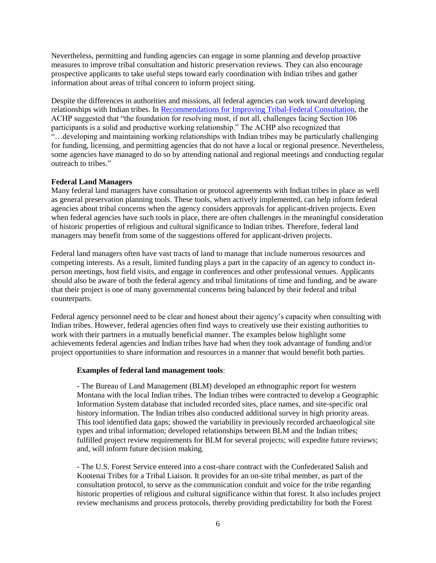Nevertheless, permitting and funding agencies can engage in some planning and develop proactive measures to improve tribal consultation and historic preservation reviews. They can also encourage prospective applicants to take useful steps toward early coordination with Indian tribes and gather information about areas of tribal concern to inform project siting.

Despite the differences in authorities and missions, all federal agencies can work toward developing relationships with Indian tribes. In [Recommendations for Improving Tribal-Federal Consultation](https://www.achp.gov/sites/default/files/guidance/2018-06/RecommendationsforImprovingTribal-FederalConsultation14Sep2015.pdf)*,* the ACHP suggested that "the foundation for resolving most, if not all, challenges facing Section 106 participants is a solid and productive working relationship." The ACHP also recognized that "…developing and maintaining working relationships with Indian tribes may be particularly challenging for funding, licensing, and permitting agencies that do not have a local or regional presence. Nevertheless, some agencies have managed to do so by attending national and regional meetings and conducting regular outreach to tribes."

#### **Federal Land Managers**

Many federal land managers have consultation or protocol agreements with Indian tribes in place as well as general preservation planning tools. These tools, when actively implemented, can help inform federal agencies about tribal concerns when the agency considers approvals for applicant-driven projects. Even when federal agencies have such tools in place, there are often challenges in the meaningful consideration of historic properties of religious and cultural significance to Indian tribes. Therefore, federal land managers may benefit from some of the suggestions offered for applicant-driven projects.

Federal land managers often have vast tracts of land to manage that include numerous resources and competing interests. As a result, limited funding plays a part in the capacity of an agency to conduct inperson meetings, host field visits, and engage in conferences and other professional venues. Applicants should also be aware of both the federal agency and tribal limitations of time and funding, and be aware that their project is one of many governmental concerns being balanced by their federal and tribal counterparts.

Federal agency personnel need to be clear and honest about their agency's capacity when consulting with Indian tribes. However, federal agencies often find ways to creatively use their existing authorities to work with their partners in a mutually beneficial manner. The examples below highlight some achievements federal agencies and Indian tribes have had when they took advantage of funding and/or project opportunities to share information and resources in a manner that would benefit both parties.

#### **Examples of federal land management tools**:

- The Bureau of Land Management (BLM) developed an ethnographic report for western Montana with the local Indian tribes. The Indian tribes were contracted to develop a Geographic Information System database that included recorded sites, place names, and site-specific oral history information. The Indian tribes also conducted additional survey in high priority areas. This tool identified data gaps; showed the variability in previously recorded archaeological site types and tribal information; developed relationships between BLM and the Indian tribes; fulfilled project review requirements for BLM for several projects; will expedite future reviews; and, will inform future decision making.

- The U.S. Forest Service entered into a cost-share contract with the Confederated Salish and Kootenai Tribes for a Tribal Liaison. It provides for an on-site tribal member, as part of the consultation protocol, to serve as the communication conduit and voice for the tribe regarding historic properties of religious and cultural significance within that forest. It also includes project review mechanisms and process protocols, thereby providing predictability for both the Forest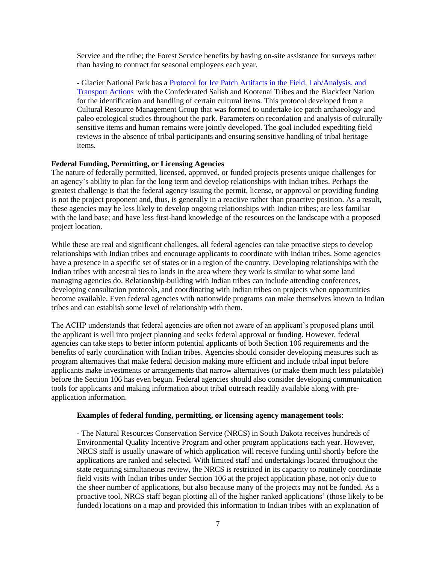Service and the tribe; the Forest Service benefits by having on-site assistance for surveys rather than having to contract for seasonal employees each year.

- Glacier National Park has a [Protocol for Ice Patch Artifacts in the Field, Lab/Analysis, and](http://glaciericepatch.org/resources/2011-Glacier-Ice-Patch-Project-artifact-protocols.pdf)  [Transport Actions](http://glaciericepatch.org/resources/2011-Glacier-Ice-Patch-Project-artifact-protocols.pdf) with the Confederated Salish and Kootenai Tribes and the Blackfeet Nation for the identification and handling of certain cultural items. This protocol developed from a Cultural Resource Management Group that was formed to undertake ice patch archaeology and paleo ecological studies throughout the park. Parameters on recordation and analysis of culturally sensitive items and human remains were jointly developed. The goal included expediting field reviews in the absence of tribal participants and ensuring sensitive handling of tribal heritage items.

#### **Federal Funding, Permitting, or Licensing Agencies**

The nature of federally permitted, licensed, approved, or funded projects presents unique challenges for an agency's ability to plan for the long term and develop relationships with Indian tribes. Perhaps the greatest challenge is that the federal agency issuing the permit, license, or approval or providing funding is not the project proponent and, thus, is generally in a reactive rather than proactive position. As a result, these agencies may be less likely to develop ongoing relationships with Indian tribes; are less familiar with the land base; and have less first-hand knowledge of the resources on the landscape with a proposed project location.

While these are real and significant challenges, all federal agencies can take proactive steps to develop relationships with Indian tribes and encourage applicants to coordinate with Indian tribes. Some agencies have a presence in a specific set of states or in a region of the country. Developing relationships with the Indian tribes with ancestral ties to lands in the area where they work is similar to what some land managing agencies do. Relationship-building with Indian tribes can include attending conferences, developing consultation protocols, and coordinating with Indian tribes on projects when opportunities become available. Even federal agencies with nationwide programs can make themselves known to Indian tribes and can establish some level of relationship with them.

The ACHP understands that federal agencies are often not aware of an applicant's proposed plans until the applicant is well into project planning and seeks federal approval or funding. However, federal agencies can take steps to better inform potential applicants of both Section 106 requirements and the benefits of early coordination with Indian tribes. Agencies should consider developing measures such as program alternatives that make federal decision making more efficient and include tribal input before applicants make investments or arrangements that narrow alternatives (or make them much less palatable) before the Section 106 has even begun. Federal agencies should also consider developing communication tools for applicants and making information about tribal outreach readily available along with preapplication information.

#### **Examples of federal funding, permitting, or licensing agency management tools**:

- The Natural Resources Conservation Service (NRCS) in South Dakota receives hundreds of Environmental Quality Incentive Program and other program applications each year. However, NRCS staff is usually unaware of which application will receive funding until shortly before the applications are ranked and selected. With limited staff and undertakings located throughout the state requiring simultaneous review, the NRCS is restricted in its capacity to routinely coordinate field visits with Indian tribes under Section 106 at the project application phase, not only due to the sheer number of applications, but also because many of the projects may not be funded. As a proactive tool, NRCS staff began plotting all of the higher ranked applications' (those likely to be funded) locations on a map and provided this information to Indian tribes with an explanation of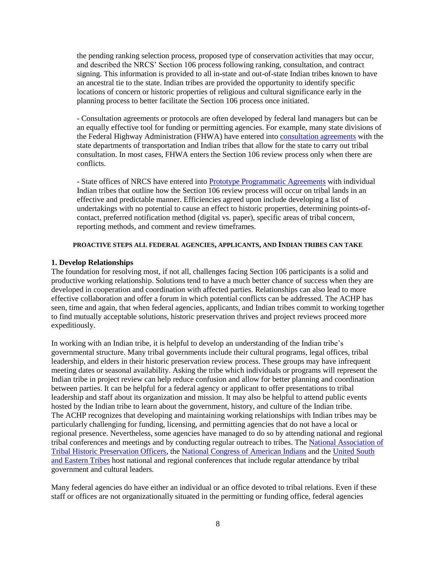the pending ranking selection process, proposed type of conservation activities that may occur, and described the NRCS' Section 106 process following ranking, consultation, and contract signing. This information is provided to all in-state and out-of-state Indian tribes known to have an ancestral tie to the state. Indian tribes are provided the opportunity to identify specific locations of concern or historic properties of religious and cultural significance early in the planning process to better facilitate the Section 106 process once initiated.

- Consultation agreements or protocols are often developed by federal land managers but can be an equally effective tool for funding or permitting agencies. For example, many state divisions of the Federal Highway Administration (FHWA) have entered into [consultation agreements](https://www.achp.gov/sites/default/files/2017-01/TCC.pdf) with the state departments of transportation and Indian tribes that allow for the state to carry out tribal consultation. In most cases, FHWA enters the Section 106 review process only when there are conflicts.

- State offices of NRCS have entered int[o Prototype Programmatic Agreements](https://www.achp.gov/nrcs) with individual Indian tribes that outline how the Section 106 review process will occur on tribal lands in an effective and predictable manner. Efficiencies agreed upon include developing a list of undertakings with no potential to cause an effect to historic properties, determining points-ofcontact, preferred notification method (digital vs. paper), specific areas of tribal concern, reporting methods, and comment and review timeframes.

#### **PROACTIVE STEPS ALL FEDERAL AGENCIES, APPLICANTS, AND INDIAN TRIBES CAN TAKE**

#### **1. Develop Relationships**

The foundation for resolving most, if not all, challenges facing Section 106 participants is a solid and productive working relationship. Solutions tend to have a much better chance of success when they are developed in cooperation and coordination with affected parties. Relationships can also lead to more effective collaboration and offer a forum in which potential conflicts can be addressed. The ACHP has seen, time and again, that when federal agencies, applicants, and Indian tribes commit to working together to find mutually acceptable solutions, historic preservation thrives and project reviews proceed more expeditiously.

In working with an Indian tribe, it is helpful to develop an understanding of the Indian tribe's governmental structure. Many tribal governments include their cultural programs, legal offices, tribal leadership, and elders in their historic preservation review process. These groups may have infrequent meeting dates or seasonal availability. Asking the tribe which individuals or programs will represent the Indian tribe in project review can help reduce confusion and allow for better planning and coordination between parties. It can be helpful for a federal agency or applicant to offer presentations to tribal leadership and staff about its organization and mission. It may also be helpful to attend public events hosted by the Indian tribe to learn about the government, history, and culture of the Indian tribe. The ACHP recognizes that developing and maintaining working relationships with Indian tribes may be particularly challenging for funding, licensing, and permitting agencies that do not have a local or regional presence. Nevertheless, some agencies have managed to do so by attending national and regional tribal conferences and meetings and by conducting regular outreach to tribes. The [National Association of](http://nathpo.org/wp/)  [Tribal Historic Preservation Officers,](http://nathpo.org/wp/) the [National Congress of American Indians](http://www.ncai.org/) and the [United South](http://www.usetinc.org/)  [and Eastern Tribes](http://www.usetinc.org/) host national and regional conferences that include regular attendance by tribal government and cultural leaders.

Many federal agencies do have either an individual or an office devoted to tribal relations. Even if these staff or offices are not organizationally situated in the permitting or funding office, federal agencies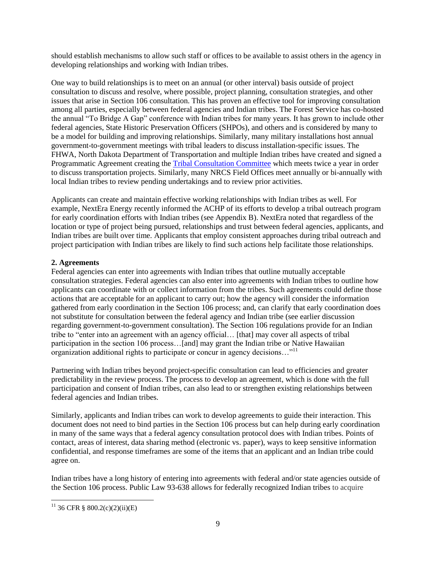should establish mechanisms to allow such staff or offices to be available to assist others in the agency in developing relationships and working with Indian tribes.

One way to build relationships is to meet on an annual (or other interval) basis outside of project consultation to discuss and resolve, where possible, project planning, consultation strategies, and other issues that arise in Section 106 consultation. This has proven an effective tool for improving consultation among all parties, especially between federal agencies and Indian tribes. The Forest Service has co-hosted the annual "To Bridge A Gap" conference with Indian tribes for many years. It has grown to include other federal agencies, State Historic Preservation Officers (SHPOs), and others and is considered by many to be a model for building and improving relationships. Similarly, many military installations host annual government-to-government meetings with tribal leaders to discuss installation-specific issues. The FHWA, North Dakota Department of Transportation and multiple Indian tribes have created and signed a Programmatic Agreement creating the [Tribal Consultation Committee](https://www.environment.fhwa.dot.gov/env_topics/historic_pres/case_studies/nd_pa.aspx) which meets twice a year in order to discuss transportation projects. Similarly, many NRCS Field Offices meet annually or bi-annually with local Indian tribes to review pending undertakings and to review prior activities.

Applicants can create and maintain effective working relationships with Indian tribes as well. For example, NextEra Energy recently informed the ACHP of its efforts to develop a tribal outreach program for early coordination efforts with Indian tribes (see Appendix B). NextEra noted that regardless of the location or type of project being pursued, relationships and trust between federal agencies, applicants, and Indian tribes are built over time. Applicants that employ consistent approaches during tribal outreach and project participation with Indian tribes are likely to find such actions help facilitate those relationships.

# **2. Agreements**

Federal agencies can enter into agreements with Indian tribes that outline mutually acceptable consultation strategies. Federal agencies can also enter into agreements with Indian tribes to outline how applicants can coordinate with or collect information from the tribes. Such agreements could define those actions that are acceptable for an applicant to carry out; how the agency will consider the information gathered from early coordination in the Section 106 process; and, can clarify that early coordination does not substitute for consultation between the federal agency and Indian tribe (see earlier discussion regarding government-to-government consultation). The Section 106 regulations provide for an Indian tribe to "enter into an agreement with an agency official… [that] may cover all aspects of tribal participation in the section 106 process…[and] may grant the Indian tribe or Native Hawaiian organization additional rights to participate or concur in agency decisions…"<sup>11</sup>

Partnering with Indian tribes beyond project-specific consultation can lead to efficiencies and greater predictability in the review process. The process to develop an agreement, which is done with the full participation and consent of Indian tribes, can also lead to or strengthen existing relationships between federal agencies and Indian tribes.

Similarly, applicants and Indian tribes can work to develop agreements to guide their interaction. This document does not need to bind parties in the Section 106 process but can help during early coordination in many of the same ways that a federal agency consultation protocol does with Indian tribes. Points of contact, areas of interest, data sharing method (electronic vs. paper), ways to keep sensitive information confidential, and response timeframes are some of the items that an applicant and an Indian tribe could agree on.

Indian tribes have a long history of entering into agreements with federal and/or state agencies outside of the Section 106 process. Public Law 93-638 allows for federally recognized Indian tribes to acquire

 $11$  36 CFR § 800.2(c)(2)(ii)(E)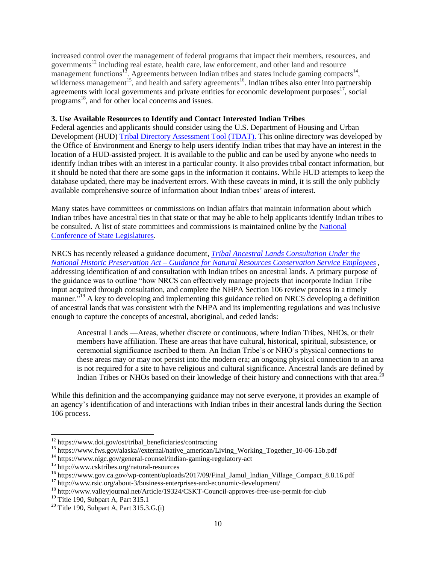increased control over the management of federal programs that impact their members, resources, and governments<sup>12</sup> including real estate, health care, law enforcement, and other land and resource management functions<sup>13</sup>. Agreements between Indian tribes and states include gaming compacts<sup>14</sup>, wilderness management<sup>15</sup>, and health and safety agreements<sup>16</sup>. Indian tribes also enter into partnership agreements with local governments and private entities for economic development purposes<sup> $17$ </sup>, social programs<sup>18</sup>, and for other local concerns and issues.

#### **3. Use Available Resources to Identify and Contact Interested Indian Tribes**

Federal agencies and applicants should consider using the U.S. Department of Housing and Urban Development (HUD) [Tribal Directory Assessment Tool \(TDAT\).](https://egis.hud.gov/tdat) This online directory was developed by the Office of Environment and Energy to help users identify Indian tribes that may have an interest in the location of a HUD-assisted project. It is available to the public and can be used by anyone who needs to identify Indian tribes with an interest in a particular county. It also provides tribal contact information, but it should be noted that there are some gaps in the information it contains. While HUD attempts to keep the database updated, there may be inadvertent errors. With these caveats in mind, it is still the only publicly available comprehensive source of information about Indian tribes' areas of interest.

Many states have committees or commissions on Indian affairs that maintain information about which Indian tribes have ancestral ties in that state or that may be able to help applicants identify Indian tribes to be consulted. A list of state committees and commissions is maintained online by th[e National](http://www.ncsl.org/research/state-tribal-institute/state-tribal-relations-committees-and-commissions.aspx)  [Conference of State Legislatures.](http://www.ncsl.org/research/state-tribal-institute/state-tribal-relations-committees-and-commissions.aspx)

NRCS has recently released a guidance document, *[Tribal Ancestral Lands Consultation Under the](https://directives.sc.egov.usda.gov/viewerFS.aspx?hid=42470)  National Historic Preservation Act – [Guidance for Natural Resources Conservation Service Employees](https://directives.sc.egov.usda.gov/viewerFS.aspx?hid=42470)*, addressing identification of and consultation with Indian tribes on ancestral lands. A primary purpose of the guidance was to outline "how NRCS can effectively manage projects that incorporate Indian Tribe input acquired through consultation, and complete the NHPA Section 106 review process in a timely manner.<sup>"19</sup> A key to developing and implementing this guidance relied on NRCS developing a definition of ancestral lands that was consistent with the NHPA and its implementing regulations and was inclusive enough to capture the concepts of ancestral, aboriginal, and ceded lands:

Ancestral Lands —Areas, whether discrete or continuous, where Indian Tribes, NHOs, or their members have affiliation. These are areas that have cultural, historical, spiritual, subsistence, or ceremonial significance ascribed to them. An Indian Tribe's or NHO's physical connections to these areas may or may not persist into the modern era; an ongoing physical connection to an area is not required for a site to have religious and cultural significance. Ancestral lands are defined by Indian Tribes or NHOs based on their knowledge of their history and connections with that area.<sup>20</sup>

While this definition and the accompanying guidance may not serve everyone, it provides an example of an agency's identification of and interactions with Indian tribes in their ancestral lands during the Section 106 process.

 $12$  https://www.doi.gov/ost/tribal\_beneficiaries/contracting

<sup>&</sup>lt;sup>13</sup> https://www.fws.gov/alaska//external/native\_american/Living\_Working\_Together\_10-06-15b.pdf

<sup>&</sup>lt;sup>14</sup> https://www.nigc.gov/general-counsel/indian-gaming-regulatory-act

<sup>15</sup> http://www.csktribes.org/natural-resources

<sup>&</sup>lt;sup>16</sup> https://www.gov.ca.gov/wp-content/uploads/2017/09/Final\_Jamul\_Indian\_Village\_Compact\_8.8.16.pdf

<sup>17</sup> http://www.rsic.org/about-3/business-enterprises-and-economic-development/

<sup>&</sup>lt;sup>18</sup> http://www.valleyjournal.net/Article/19324/CSKT-Council-approves-free-use-permit-for-club

<sup>&</sup>lt;sup>19</sup> Title 190, Subpart A, Part 315.1

 $20$  Title 190, Subpart A, Part 315.3.G.(i)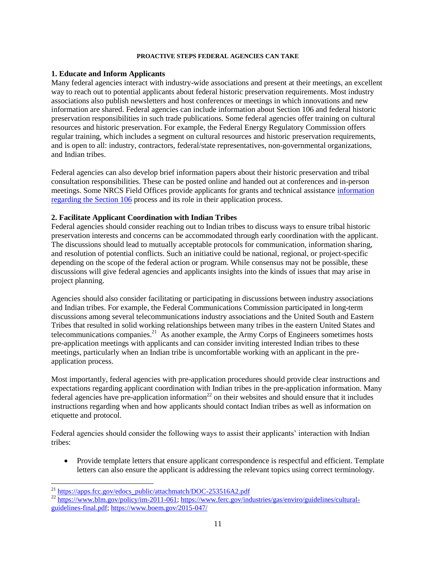#### **PROACTIVE STEPS FEDERAL AGENCIES CAN TAKE**

#### **1. Educate and Inform Applicants**

Many federal agencies interact with industry-wide associations and present at their meetings, an excellent way to reach out to potential applicants about federal historic preservation requirements. Most industry associations also publish newsletters and host conferences or meetings in which innovations and new information are shared. Federal agencies can include information about Section 106 and federal historic preservation responsibilities in such trade publications. Some federal agencies offer training on cultural resources and historic preservation. For example, the Federal Energy Regulatory Commission offers regular training, which includes a segment on cultural resources and historic preservation requirements, and is open to all: industry, contractors, federal/state representatives, non-governmental organizations, and Indian tribes.

Federal agencies can also develop brief information papers about their historic preservation and tribal consultation responsibilities. These can be posted online and handed out at conferences and in-person meetings. Some NRCS Field Offices provide applicants for grants and technical assistance *information* [regarding the Section 106](https://www.nrcs.usda.gov/Internet/FSE_DOCUMENTS/stelprdb1082438.pdf) process and its role in their application process.

#### **2. Facilitate Applicant Coordination with Indian Tribes**

Federal agencies should consider reaching out to Indian tribes to discuss ways to ensure tribal historic preservation interests and concerns can be accommodated through early coordination with the applicant. The discussions should lead to mutually acceptable protocols for communication, information sharing, and resolution of potential conflicts. Such an initiative could be national, regional, or project-specific depending on the scope of the federal action or program. While consensus may not be possible, these discussions will give federal agencies and applicants insights into the kinds of issues that may arise in project planning.

Agencies should also consider facilitating or participating in discussions between industry associations and Indian tribes. For example, the Federal Communications Commission participated in long-term discussions among several telecommunications industry associations and the United South and Eastern Tribes that resulted in solid working relationships between many tribes in the eastern United States and telecommunications companies. $21$  As another example, the Army Corps of Engineers sometimes hosts pre-application meetings with applicants and can consider inviting interested Indian tribes to these meetings, particularly when an Indian tribe is uncomfortable working with an applicant in the preapplication process.

Most importantly, federal agencies with pre-application procedures should provide clear instructions and expectations regarding applicant coordination with Indian tribes in the pre-application information. Many  $f$ ederal agencies have pre-application information<sup>22</sup> on their websites and should ensure that it includes instructions regarding when and how applicants should contact Indian tribes as well as information on etiquette and protocol.

Federal agencies should consider the following ways to assist their applicants' interaction with Indian tribes:

• Provide template letters that ensure applicant correspondence is respectful and efficient. Template letters can also ensure the applicant is addressing the relevant topics using correct terminology.

l <sup>21</sup> [https://apps.fcc.gov/edocs\\_public/attachmatch/DOC-253516A2.pdf](https://apps.fcc.gov/edocs_public/attachmatch/DOC-253516A2.pdf)

<sup>&</sup>lt;sup>22</sup> [https://www.blm.gov/policy/im-2011-061;](https://www.blm.gov/policy/im-2011-061) [https://www.ferc.gov/industries/gas/enviro/guidelines/cultural](https://www.ferc.gov/industries/gas/enviro/guidelines/cultural-guidelines-final.pdf)[guidelines-final.pdf;](https://www.ferc.gov/industries/gas/enviro/guidelines/cultural-guidelines-final.pdf) <https://www.boem.gov/2015-047/>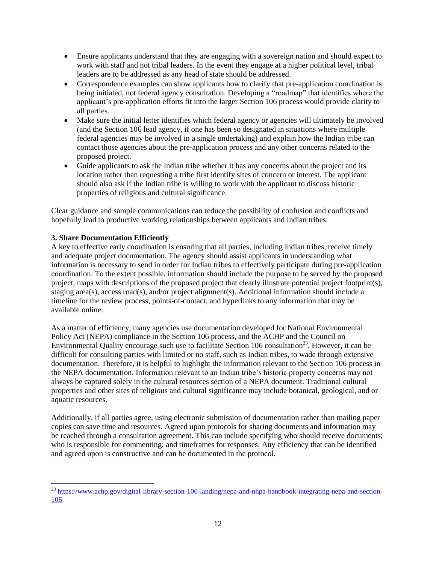- Ensure applicants understand that they are engaging with a sovereign nation and should expect to work with staff and not tribal leaders. In the event they engage at a higher political level, tribal leaders are to be addressed as any head of state should be addressed.
- Correspondence examples can show applicants how to clarify that pre-application coordination is being initiated, not federal agency consultation. Developing a "roadmap" that identifies where the applicant's pre-application efforts fit into the larger Section 106 process would provide clarity to all parties.
- Make sure the initial letter identifies which federal agency or agencies will ultimately be involved (and the Section 106 lead agency, if one has been so designated in situations where multiple federal agencies may be involved in a single undertaking) and explain how the Indian tribe can contact those agencies about the pre-application process and any other concerns related to the proposed project.
- Guide applicants to ask the Indian tribe whether it has any concerns about the project and its location rather than requesting a tribe first identify sites of concern or interest. The applicant should also ask if the Indian tribe is willing to work with the applicant to discuss historic properties of religious and cultural significance.

Clear guidance and sample communications can reduce the possibility of confusion and conflicts and hopefully lead to productive working relationships between applicants and Indian tribes.

# **3. Share Documentation Efficiently**

l

A key to effective early coordination is ensuring that all parties, including Indian tribes, receive timely and adequate project documentation. The agency should assist applicants in understanding what information is necessary to send in order for Indian tribes to effectively participate during pre-application coordination. To the extent possible, information should include the purpose to be served by the proposed project, maps with descriptions of the proposed project that clearly illustrate potential project footprint(s), staging area(s), access road(s), and/or project alignment(s). Additional information should include a timeline for the review process, points-of-contact, and hyperlinks to any information that may be available online.

As a matter of efficiency, many agencies use documentation developed for National Environmental Policy Act (NEPA) compliance in the Section 106 process, and the ACHP and the Council on Environmental Quality encourage such use to facilitate Section 106 consultation<sup>23</sup>. However, it can be difficult for consulting parties with limited or no staff, such as Indian tribes, to wade through extensive documentation. Therefore, it is helpful to highlight the information relevant to the Section 106 process in the NEPA documentation. Information relevant to an Indian tribe's historic property concerns may not always be captured solely in the cultural resources section of a NEPA document. Traditional cultural properties and other sites of religious and cultural significance may include botanical, geological, and or aquatic resources.

Additionally, if all parties agree, using electronic submission of documentation rather than mailing paper copies can save time and resources. Agreed upon protocols for sharing documents and information may be reached through a consultation agreement. This can include specifying who should receive documents; who is responsible for commenting; and timeframes for responses. Any efficiency that can be identified and agreed upon is constructive and can be documented in the protocol.

<sup>&</sup>lt;sup>23</sup> [https://www.achp.gov/digital-library-section-106-landing/nepa-and-nhpa-handbook-integrating-nepa-and-section-](https://www.achp.gov/digital-library-section-106-landing/nepa-and-nhpa-handbook-integrating-nepa-and-section-106)[106](https://www.achp.gov/digital-library-section-106-landing/nepa-and-nhpa-handbook-integrating-nepa-and-section-106)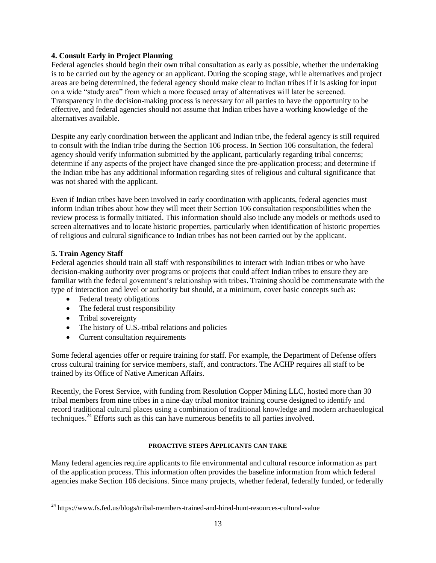### **4. Consult Early in Project Planning**

Federal agencies should begin their own tribal consultation as early as possible, whether the undertaking is to be carried out by the agency or an applicant. During the scoping stage, while alternatives and project areas are being determined, the federal agency should make clear to Indian tribes if it is asking for input on a wide "study area" from which a more focused array of alternatives will later be screened. Transparency in the decision-making process is necessary for all parties to have the opportunity to be effective, and federal agencies should not assume that Indian tribes have a working knowledge of the alternatives available.

Despite any early coordination between the applicant and Indian tribe, the federal agency is still required to consult with the Indian tribe during the Section 106 process. In Section 106 consultation, the federal agency should verify information submitted by the applicant, particularly regarding tribal concerns; determine if any aspects of the project have changed since the pre-application process; and determine if the Indian tribe has any additional information regarding sites of religious and cultural significance that was not shared with the applicant.

Even if Indian tribes have been involved in early coordination with applicants, federal agencies must inform Indian tribes about how they will meet their Section 106 consultation responsibilities when the review process is formally initiated. This information should also include any models or methods used to screen alternatives and to locate historic properties, particularly when identification of historic properties of religious and cultural significance to Indian tribes has not been carried out by the applicant.

# **5. Train Agency Staff**

l

Federal agencies should train all staff with responsibilities to interact with Indian tribes or who have decision-making authority over programs or projects that could affect Indian tribes to ensure they are familiar with the federal government's relationship with tribes. Training should be commensurate with the type of interaction and level or authority but should, at a minimum, cover basic concepts such as:

- Federal treaty obligations
- The federal trust responsibility
- Tribal sovereignty
- The history of U.S.-tribal relations and policies
- Current consultation requirements

Some federal agencies offer or require training for staff. For example, the Department of Defense offers cross cultural training for service members, staff, and contractors. The ACHP requires all staff to be trained by its Office of Native American Affairs.

Recently, the Forest Service, with funding from Resolution Copper Mining LLC, hosted more than 30 tribal members from nine tribes in a nine-day tribal monitor training course designed to identify and record traditional cultural places using a combination of traditional knowledge and modern archaeological techniques. <sup>24</sup> Efforts such as this can have numerous benefits to all parties involved.

#### **PROACTIVE STEPS APPLICANTS CAN TAKE**

Many federal agencies require applicants to file environmental and cultural resource information as part of the application process. This information often provides the baseline information from which federal agencies make Section 106 decisions. Since many projects, whether federal, federally funded, or federally

<sup>24</sup> https://www.fs.fed.us/blogs/tribal-members-trained-and-hired-hunt-resources-cultural-value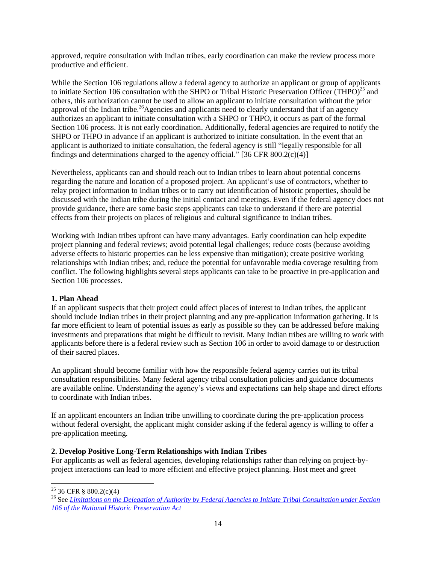approved, require consultation with Indian tribes, early coordination can make the review process more productive and efficient.

While the Section 106 regulations allow a federal agency to authorize an applicant or group of applicants to initiate Section 106 consultation with the SHPO or Tribal Historic Preservation Officer (THPO)<sup>25</sup> and others, this authorization cannot be used to allow an applicant to initiate consultation without the prior approval of the Indian tribe.<sup>26</sup>Agencies and applicants need to clearly understand that if an agency authorizes an applicant to initiate consultation with a SHPO or THPO, it occurs as part of the formal Section 106 process. It is not early coordination. Additionally, federal agencies are required to notify the SHPO or THPO in advance if an applicant is authorized to initiate consultation. In the event that an applicant is authorized to initiate consultation, the federal agency is still "legally responsible for all findings and determinations charged to the agency official." [36 CFR 800.2(c)(4)]

Nevertheless, applicants can and should reach out to Indian tribes to learn about potential concerns regarding the nature and location of a proposed project. An applicant's use of contractors, whether to relay project information to Indian tribes or to carry out identification of historic properties, should be discussed with the Indian tribe during the initial contact and meetings. Even if the federal agency does not provide guidance, there are some basic steps applicants can take to understand if there are potential effects from their projects on places of religious and cultural significance to Indian tribes.

Working with Indian tribes upfront can have many advantages. Early coordination can help expedite project planning and federal reviews; avoid potential legal challenges; reduce costs (because avoiding adverse effects to historic properties can be less expensive than mitigation); create positive working relationships with Indian tribes; and, reduce the potential for unfavorable media coverage resulting from conflict. The following highlights several steps applicants can take to be proactive in pre-application and Section 106 processes.

# **1. Plan Ahead**

If an applicant suspects that their project could affect places of interest to Indian tribes, the applicant should include Indian tribes in their project planning and any pre-application information gathering. It is far more efficient to learn of potential issues as early as possible so they can be addressed before making investments and preparations that might be difficult to revisit. Many Indian tribes are willing to work with applicants before there is a federal review such as Section 106 in order to avoid damage to or destruction of their sacred places.

An applicant should become familiar with how the responsible federal agency carries out its tribal consultation responsibilities. Many federal agency tribal consultation policies and guidance documents are available online. Understanding the agency's views and expectations can help shape and direct efforts to coordinate with Indian tribes.

If an applicant encounters an Indian tribe unwilling to coordinate during the pre-application process without federal oversight, the applicant might consider asking if the federal agency is willing to offer a pre-application meeting.

#### **2. Develop Positive Long-Term Relationships with Indian Tribes**

For applicants as well as federal agencies, developing relationships rather than relying on project-byproject interactions can lead to more efficient and effective project planning. Host meet and greet

l <sup>25</sup> 36 CFR § 800.2(c)(4)

<sup>26</sup> See *[Limitations on the Delegation of Authority by Federal Agencies to Initiate Tribal Consultation under Section](https://www.achp.gov/digital-library-section-106-landing/limitations-delegation-authority-federal-agencies-initiate)  [106 of the National Historic Preservation Act](https://www.achp.gov/digital-library-section-106-landing/limitations-delegation-authority-federal-agencies-initiate)*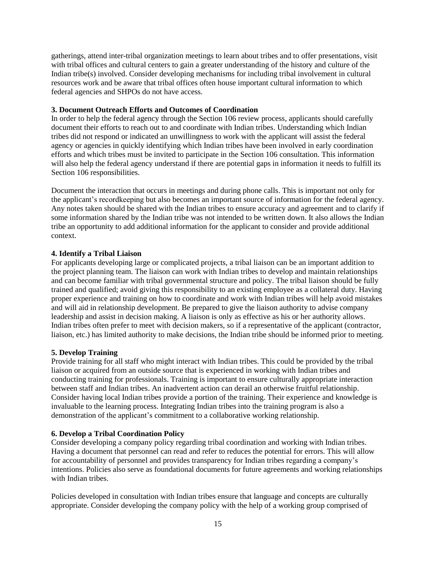gatherings, attend inter-tribal organization meetings to learn about tribes and to offer presentations, visit with tribal offices and cultural centers to gain a greater understanding of the history and culture of the Indian tribe(s) involved. Consider developing mechanisms for including tribal involvement in cultural resources work and be aware that tribal offices often house important cultural information to which federal agencies and SHPOs do not have access.

#### **3. Document Outreach Efforts and Outcomes of Coordination**

In order to help the federal agency through the Section 106 review process, applicants should carefully document their efforts to reach out to and coordinate with Indian tribes. Understanding which Indian tribes did not respond or indicated an unwillingness to work with the applicant will assist the federal agency or agencies in quickly identifying which Indian tribes have been involved in early coordination efforts and which tribes must be invited to participate in the Section 106 consultation. This information will also help the federal agency understand if there are potential gaps in information it needs to fulfill its Section 106 responsibilities.

Document the interaction that occurs in meetings and during phone calls. This is important not only for the applicant's recordkeeping but also becomes an important source of information for the federal agency. Any notes taken should be shared with the Indian tribes to ensure accuracy and agreement and to clarify if some information shared by the Indian tribe was not intended to be written down. It also allows the Indian tribe an opportunity to add additional information for the applicant to consider and provide additional context.

# **4. Identify a Tribal Liaison**

For applicants developing large or complicated projects, a tribal liaison can be an important addition to the project planning team. The liaison can work with Indian tribes to develop and maintain relationships and can become familiar with tribal governmental structure and policy. The tribal liaison should be fully trained and qualified; avoid giving this responsibility to an existing employee as a collateral duty. Having proper experience and training on how to coordinate and work with Indian tribes will help avoid mistakes and will aid in relationship development. Be prepared to give the liaison authority to advise company leadership and assist in decision making. A liaison is only as effective as his or her authority allows. Indian tribes often prefer to meet with decision makers, so if a representative of the applicant (contractor, liaison, etc.) has limited authority to make decisions, the Indian tribe should be informed prior to meeting.

# **5. Develop Training**

Provide training for all staff who might interact with Indian tribes. This could be provided by the tribal liaison or acquired from an outside source that is experienced in working with Indian tribes and conducting training for professionals. Training is important to ensure culturally appropriate interaction between staff and Indian tribes. An inadvertent action can derail an otherwise fruitful relationship. Consider having local Indian tribes provide a portion of the training. Their experience and knowledge is invaluable to the learning process. Integrating Indian tribes into the training program is also a demonstration of the applicant's commitment to a collaborative working relationship.

#### **6. Develop a Tribal Coordination Policy**

Consider developing a company policy regarding tribal coordination and working with Indian tribes. Having a document that personnel can read and refer to reduces the potential for errors. This will allow for accountability of personnel and provides transparency for Indian tribes regarding a company's intentions. Policies also serve as foundational documents for future agreements and working relationships with Indian tribes.

Policies developed in consultation with Indian tribes ensure that language and concepts are culturally appropriate. Consider developing the company policy with the help of a working group comprised of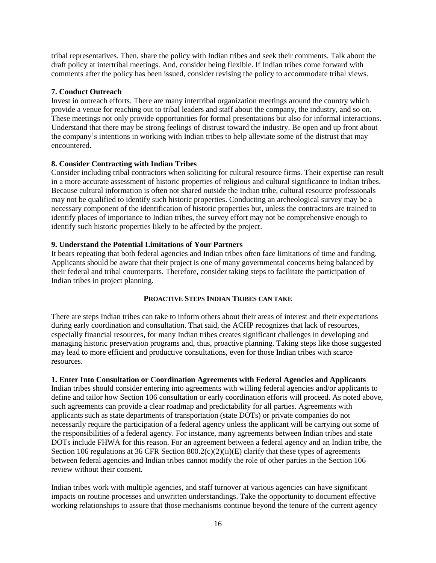tribal representatives. Then, share the policy with Indian tribes and seek their comments. Talk about the draft policy at intertribal meetings. And, consider being flexible. If Indian tribes come forward with comments after the policy has been issued, consider revising the policy to accommodate tribal views.

### **7. Conduct Outreach**

Invest in outreach efforts. There are many intertribal organization meetings around the country which provide a venue for reaching out to tribal leaders and staff about the company, the industry, and so on. These meetings not only provide opportunities for formal presentations but also for informal interactions. Understand that there may be strong feelings of distrust toward the industry. Be open and up front about the company's intentions in working with Indian tribes to help alleviate some of the distrust that may encountered.

# **8. Consider Contracting with Indian Tribes**

Consider including tribal contractors when soliciting for cultural resource firms. Their expertise can result in a more accurate assessment of historic properties of religious and cultural significance to Indian tribes. Because cultural information is often not shared outside the Indian tribe, cultural resource professionals may not be qualified to identify such historic properties. Conducting an archeological survey may be a necessary component of the identification of historic properties but, unless the contractors are trained to identify places of importance to Indian tribes, the survey effort may not be comprehensive enough to identify such historic properties likely to be affected by the project.

# **9. Understand the Potential Limitations of Your Partners**

It bears repeating that both federal agencies and Indian tribes often face limitations of time and funding. Applicants should be aware that their project is one of many governmental concerns being balanced by their federal and tribal counterparts. Therefore, consider taking steps to facilitate the participation of Indian tribes in project planning.

#### **PROACTIVE STEPS INDIAN TRIBES CAN TAKE**

There are steps Indian tribes can take to inform others about their areas of interest and their expectations during early coordination and consultation. That said, the ACHP recognizes that lack of resources, especially financial resources, for many Indian tribes creates significant challenges in developing and managing historic preservation programs and, thus, proactive planning. Taking steps like those suggested may lead to more efficient and productive consultations, even for those Indian tribes with scarce resources.

#### **1. Enter Into Consultation or Coordination Agreements with Federal Agencies and Applicants**

Indian tribes should consider entering into agreements with willing federal agencies and/or applicants to define and tailor how Section 106 consultation or early coordination efforts will proceed. As noted above, such agreements can provide a clear roadmap and predictability for all parties. Agreements with applicants such as state departments of transportation (state DOTs) or private companies do not necessarily require the participation of a federal agency unless the applicant will be carrying out some of the responsibilities of a federal agency. For instance, many agreements between Indian tribes and state DOTs include FHWA for this reason. For an agreement between a federal agency and an Indian tribe, the Section 106 regulations at 36 CFR Section  $800.2(c)(2)(ii)(E)$  clarify that these types of agreements between federal agencies and Indian tribes cannot modify the role of other parties in the Section 106 review without their consent.

Indian tribes work with multiple agencies, and staff turnover at various agencies can have significant impacts on routine processes and unwritten understandings. Take the opportunity to document effective working relationships to assure that those mechanisms continue beyond the tenure of the current agency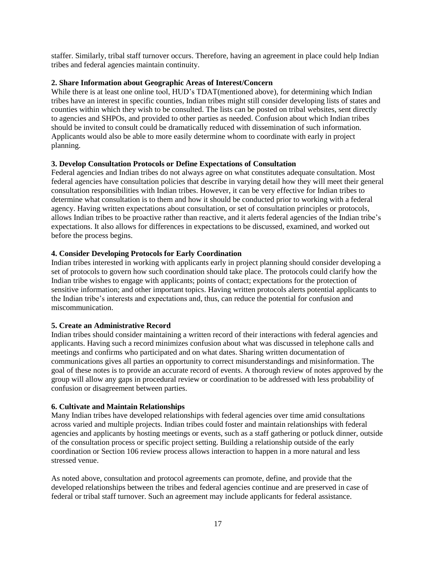staffer. Similarly, tribal staff turnover occurs. Therefore, having an agreement in place could help Indian tribes and federal agencies maintain continuity.

#### **2. Share Information about Geographic Areas of Interest/Concern**

While there is at least one online tool, HUD's TDAT(mentioned above), for determining which Indian tribes have an interest in specific counties, Indian tribes might still consider developin[g lists of states and](http://www.choctawnationculture.com/historic-preservation/consultation-section-106-program.aspx)  [counties](http://www.choctawnationculture.com/historic-preservation/consultation-section-106-program.aspx) within which they wish to be consulted. The lists can be posted on tribal websites, sent directly to agencies and SHPOs, and provided to other parties as needed. Confusion about which Indian tribes should be invited to consult could be dramatically reduced with dissemination of such information. Applicants would also be able to more easily determine whom to coordinate with early in project planning.

# **3. Develop Consultation Protocols or Define Expectations of Consultation**

Federal agencies and Indian tribes do not always agree on what constitutes adequate consultation. Most federal agencies have consultation policies that describe in varying detail how they will meet their general consultation responsibilities with Indian tribes. However, it can be very effective for Indian tribes to determine what consultation is to them and how it should be conducted prior to working with a federal agency. Having written expectations about consultation, or set of consultation principles or protocols, allows Indian tribes to be proactive rather than reactive, and it alerts federal agencies of the Indian tribe's expectations. It also allows for differences in expectations to be discussed, examined, and worked out before the process begins.

# **4. Consider Developing Protocols for Early Coordination**

Indian tribes interested in working with applicants early in project planning should consider developing a set of protocols to govern how such coordination should take place. The protocols could clarify how the Indian tribe wishes to engage with applicants; points of contact; expectations for the protection of sensitive information; and other important topics. Having written protocols alerts potential applicants to the Indian tribe's interests and expectations and, thus, can reduce the potential for confusion and miscommunication.

#### **5. Create an Administrative Record**

Indian tribes should consider maintaining a written record of their interactions with federal agencies and applicants. Having such a record minimizes confusion about what was discussed in telephone calls and meetings and confirms who participated and on what dates. Sharing written documentation of communications gives all parties an opportunity to correct misunderstandings and misinformation. The goal of these notes is to provide an accurate record of events. A thorough review of notes approved by the group will allow any gaps in procedural review or coordination to be addressed with less probability of confusion or disagreement between parties.

#### **6. Cultivate and Maintain Relationships**

Many Indian tribes have developed relationships with federal agencies over time amid consultations across varied and multiple projects. Indian tribes could foster and maintain relationships with federal agencies and applicants by hosting meetings or events, such as a staff gathering or potluck dinner, outside of the consultation process or specific project setting. Building a relationship outside of the early coordination or Section 106 review process allows interaction to happen in a more natural and less stressed venue.

As noted above, consultation and protocol agreements can promote, define, and provide that the developed relationships between the tribes and federal agencies continue and are preserved in case of federal or tribal staff turnover. Such an agreement may include applicants for federal assistance.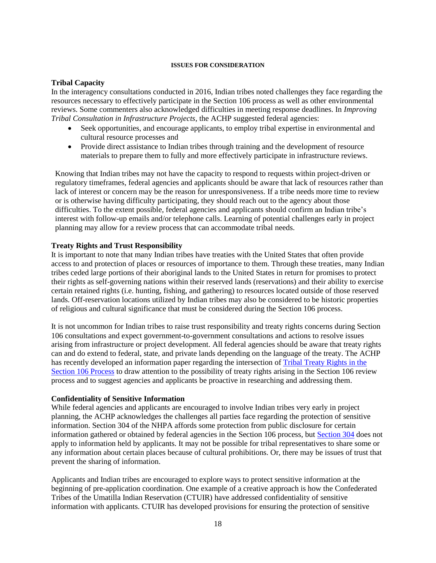#### **ISSUES FOR CONSIDERATION**

#### **Tribal Capacity**

In the interagency consultations conducted in 2016, Indian tribes noted challenges they face regarding the resources necessary to effectively participate in the Section 106 process as well as other environmental reviews. Some commenters also acknowledged difficulties in meeting response deadlines. In *Improving Tribal Consultation in Infrastructure Projects*, the ACHP suggested federal agencies:

- Seek opportunities, and encourage applicants, to employ tribal expertise in environmental and cultural resource processes and
- Provide direct assistance to Indian tribes through training and the development of resource materials to prepare them to fully and more effectively participate in infrastructure reviews.

Knowing that Indian tribes may not have the capacity to respond to requests within project-driven or regulatory timeframes, federal agencies and applicants should be aware that lack of resources rather than lack of interest or concern may be the reason for unresponsiveness. If a tribe needs more time to review or is otherwise having difficulty participating, they should reach out to the agency about those difficulties. To the extent possible, federal agencies and applicants should confirm an Indian tribe's interest with follow-up emails and/or telephone calls. Learning of potential challenges early in project planning may allow for a review process that can accommodate tribal needs.

#### **Treaty Rights and Trust Responsibility**

It is important to note that many Indian tribes have treaties with the United States that often provide access to and protection of places or resources of importance to them. Through these treaties, many Indian tribes ceded large portions of their aboriginal lands to the United States in return for promises to protect their rights as self-governing nations within their reserved lands (reservations) and their ability to exercise certain retained rights (i.e. hunting, fishing, and gathering) to resources located outside of those reserved lands. Off-reservation locations utilized by Indian tribes may also be considered to be historic properties of religious and cultural significance that must be considered during the Section 106 process.

It is not uncommon for Indian tribes to raise trust responsibility and treaty rights concerns during Section 106 consultations and expect government-to-government consultations and actions to resolve issues arising from infrastructure or project development. All federal agencies should be aware that treaty rights can and do extend to federal, state, and private lands depending on the language of the treaty. The ACHP has recently developed an information paper regarding the intersection of [Tribal Treaty Rights in the](https://www.achp.gov/digital-library-section-106-landing/tribal-treaty-rights-section-106-process)  [Section 106 Process](https://www.achp.gov/digital-library-section-106-landing/tribal-treaty-rights-section-106-process) to draw attention to the possibility of treaty rights arising in the Section 106 review process and to suggest agencies and applicants be proactive in researching and addressing them.

#### **Confidentiality of Sensitive Information**

While federal agencies and applicants are encouraged to involve Indian tribes very early in project planning, the ACHP acknowledges the challenges all parties face regarding the protection of sensitive information. Section 304 of the NHPA affords some protection from public disclosure for certain information gathered or obtained by federal agencies in the Section 106 process, but [Section 304](https://www.achp.gov/digital-library-section-106-landing/frequently-asked-questions-protecting-sensitive-information) does not apply to information held by applicants. It may not be possible for tribal representatives to share some or any information about certain places because of cultural prohibitions. Or, there may be issues of trust that prevent the sharing of information.

Applicants and Indian tribes are encouraged to explore ways to protect sensitive information at the beginning of pre-application coordination. One example of a creative approach is how the Confederated Tribes of the Umatilla Indian Reservation (CTUIR) have addressed confidentiality of sensitive information with applicants. CTUIR has developed provisions for ensuring the protection of sensitive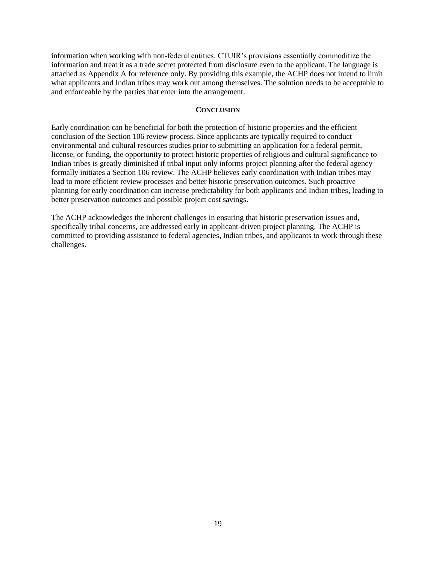information when working with non-federal entities. CTUIR's provisions essentially commoditize the information and treat it as a trade secret protected from disclosure even to the applicant. The language is attached as Appendix A for reference only. By providing this example, the ACHP does not intend to limit what applicants and Indian tribes may work out among themselves. The solution needs to be acceptable to and enforceable by the parties that enter into the arrangement.

#### **CONCLUSION**

Early coordination can be beneficial for both the protection of historic properties and the efficient conclusion of the Section 106 review process. Since applicants are typically required to conduct environmental and cultural resources studies prior to submitting an application for a federal permit, license, or funding, the opportunity to protect historic properties of religious and cultural significance to Indian tribes is greatly diminished if tribal input only informs project planning after the federal agency formally initiates a Section 106 review. The ACHP believes early coordination with Indian tribes may lead to more efficient review processes and better historic preservation outcomes. Such proactive planning for early coordination can increase predictability for both applicants and Indian tribes, leading to better preservation outcomes and possible project cost savings.

The ACHP acknowledges the inherent challenges in ensuring that historic preservation issues and, specifically tribal concerns, are addressed early in applicant-driven project planning. The ACHP is committed to providing assistance to federal agencies, Indian tribes, and applicants to work through these challenges.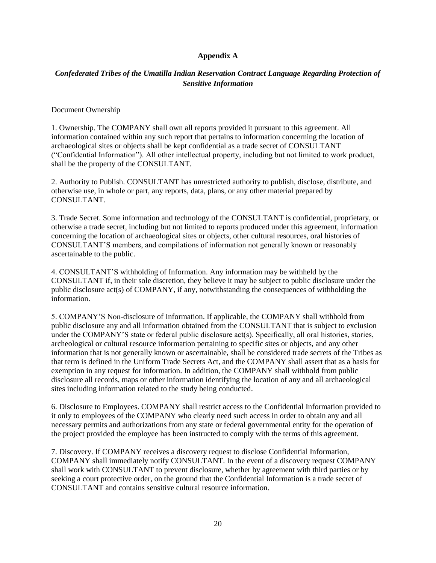### **Appendix A**

# *Confederated Tribes of the Umatilla Indian Reservation Contract Language Regarding Protection of Sensitive Information*

Document Ownership

1. Ownership. The COMPANY shall own all reports provided it pursuant to this agreement. All information contained within any such report that pertains to information concerning the location of archaeological sites or objects shall be kept confidential as a trade secret of CONSULTANT ("Confidential Information"). All other intellectual property, including but not limited to work product, shall be the property of the CONSULTANT.

2. Authority to Publish. CONSULTANT has unrestricted authority to publish, disclose, distribute, and otherwise use, in whole or part, any reports, data, plans, or any other material prepared by CONSULTANT.

3. Trade Secret. Some information and technology of the CONSULTANT is confidential, proprietary, or otherwise a trade secret, including but not limited to reports produced under this agreement, information concerning the location of archaeological sites or objects, other cultural resources, oral histories of CONSULTANT'S members, and compilations of information not generally known or reasonably ascertainable to the public.

4. CONSULTANT'S withholding of Information. Any information may be withheld by the CONSULTANT if, in their sole discretion, they believe it may be subject to public disclosure under the public disclosure act(s) of COMPANY, if any, notwithstanding the consequences of withholding the information.

5. COMPANY'S Non-disclosure of Information. If applicable, the COMPANY shall withhold from public disclosure any and all information obtained from the CONSULTANT that is subject to exclusion under the COMPANY'S state or federal public disclosure act(s). Specifically, all oral histories, stories, archeological or cultural resource information pertaining to specific sites or objects, and any other information that is not generally known or ascertainable, shall be considered trade secrets of the Tribes as that term is defined in the Uniform Trade Secrets Act, and the COMPANY shall assert that as a basis for exemption in any request for information. In addition, the COMPANY shall withhold from public disclosure all records, maps or other information identifying the location of any and all archaeological sites including information related to the study being conducted.

6. Disclosure to Employees. COMPANY shall restrict access to the Confidential Information provided to it only to employees of the COMPANY who clearly need such access in order to obtain any and all necessary permits and authorizations from any state or federal governmental entity for the operation of the project provided the employee has been instructed to comply with the terms of this agreement.

7. Discovery. If COMPANY receives a discovery request to disclose Confidential Information, COMPANY shall immediately notify CONSULTANT. In the event of a discovery request COMPANY shall work with CONSULTANT to prevent disclosure, whether by agreement with third parties or by seeking a court protective order, on the ground that the Confidential Information is a trade secret of CONSULTANT and contains sensitive cultural resource information.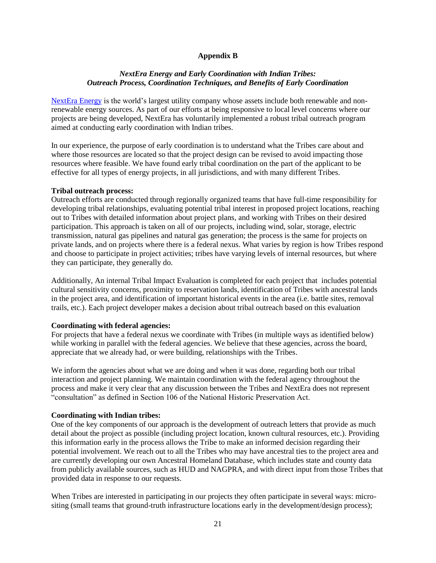#### **Appendix B**

#### *NextEra Energy and Early Coordination with Indian Tribes: Outreach Process, Coordination Techniques, and Benefits of Early Coordination*

[NextEra Energy](http://www.nexteraenergy.com/) is the world's largest utility company whose assets include both renewable and nonrenewable energy sources. As part of our efforts at being responsive to local level concerns where our projects are being developed, NextEra has voluntarily implemented a robust tribal outreach program aimed at conducting early coordination with Indian tribes.

In our experience, the purpose of early coordination is to understand what the Tribes care about and where those resources are located so that the project design can be revised to avoid impacting those resources where feasible. We have found early tribal coordination on the part of the applicant to be effective for all types of energy projects, in all jurisdictions, and with many different Tribes.

#### **Tribal outreach process:**

Outreach efforts are conducted through regionally organized teams that have full-time responsibility for developing tribal relationships, evaluating potential tribal interest in proposed project locations, reaching out to Tribes with detailed information about project plans, and working with Tribes on their desired participation. This approach is taken on all of our projects, including wind, solar, storage, electric transmission, natural gas pipelines and natural gas generation; the process is the same for projects on private lands, and on projects where there is a federal nexus. What varies by region is how Tribes respond and choose to participate in project activities; tribes have varying levels of internal resources, but where they can participate, they generally do.

Additionally, An internal Tribal Impact Evaluation is completed for each project that includes potential cultural sensitivity concerns, proximity to reservation lands, identification of Tribes with ancestral lands in the project area, and identification of important historical events in the area (i.e. battle sites, removal trails, etc.). Each project developer makes a decision about tribal outreach based on this evaluation

#### **Coordinating with federal agencies:**

For projects that have a federal nexus we coordinate with Tribes (in multiple ways as identified below) while working in parallel with the federal agencies. We believe that these agencies, across the board, appreciate that we already had, or were building, relationships with the Tribes.

We inform the agencies about what we are doing and when it was done, regarding both our tribal interaction and project planning. We maintain coordination with the federal agency throughout the process and make it very clear that any discussion between the Tribes and NextEra does not represent "consultation" as defined in Section 106 of the National Historic Preservation Act.

#### **Coordinating with Indian tribes:**

One of the key components of our approach is the development of outreach letters that provide as much detail about the project as possible (including project location, known cultural resources, etc.). Providing this information early in the process allows the Tribe to make an informed decision regarding their potential involvement. We reach out to all the Tribes who may have ancestral ties to the project area and are currently developing our own Ancestral Homeland Database, which includes state and county data from publicly available sources, such as HUD and NAGPRA, and with direct input from those Tribes that provided data in response to our requests.

When Tribes are interested in participating in our projects they often participate in several ways: micrositing (small teams that ground-truth infrastructure locations early in the development/design process);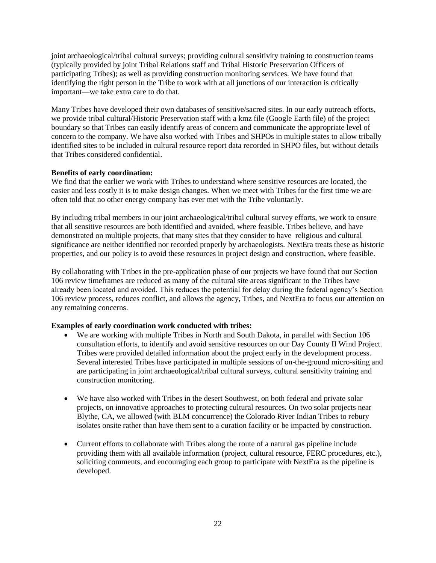joint archaeological/tribal cultural surveys; providing cultural sensitivity training to construction teams (typically provided by joint Tribal Relations staff and Tribal Historic Preservation Officers of participating Tribes); as well as providing construction monitoring services. We have found that identifying the right person in the Tribe to work with at all junctions of our interaction is critically important—we take extra care to do that.

Many Tribes have developed their own databases of sensitive/sacred sites. In our early outreach efforts, we provide tribal cultural/Historic Preservation staff with a kmz file (Google Earth file) of the project boundary so that Tribes can easily identify areas of concern and communicate the appropriate level of concern to the company. We have also worked with Tribes and SHPOs in multiple states to allow tribally identified sites to be included in cultural resource report data recorded in SHPO files, but without details that Tribes considered confidential.

#### **Benefits of early coordination:**

We find that the earlier we work with Tribes to understand where sensitive resources are located, the easier and less costly it is to make design changes. When we meet with Tribes for the first time we are often told that no other energy company has ever met with the Tribe voluntarily.

By including tribal members in our joint archaeological/tribal cultural survey efforts, we work to ensure that all sensitive resources are both identified and avoided, where feasible. Tribes believe, and have demonstrated on multiple projects, that many sites that they consider to have religious and cultural significance are neither identified nor recorded properly by archaeologists. NextEra treats these as historic properties, and our policy is to avoid these resources in project design and construction, where feasible.

By collaborating with Tribes in the pre-application phase of our projects we have found that our Section 106 review timeframes are reduced as many of the cultural site areas significant to the Tribes have already been located and avoided. This reduces the potential for delay during the federal agency's Section 106 review process, reduces conflict, and allows the agency, Tribes, and NextEra to focus our attention on any remaining concerns.

# **Examples of early coordination work conducted with tribes:**

- We are working with multiple Tribes in North and South Dakota, in parallel with Section 106 consultation efforts, to identify and avoid sensitive resources on our Day County II Wind Project. Tribes were provided detailed information about the project early in the development process. Several interested Tribes have participated in multiple sessions of on-the-ground micro-siting and are participating in joint archaeological/tribal cultural surveys, cultural sensitivity training and construction monitoring.
- We have also worked with Tribes in the desert Southwest, on both federal and private solar projects, on innovative approaches to protecting cultural resources. On two solar projects near Blythe, CA, we allowed (with BLM concurrence) the Colorado River Indian Tribes to rebury isolates onsite rather than have them sent to a curation facility or be impacted by construction.
- Current efforts to collaborate with Tribes along the route of a natural gas pipeline include providing them with all available information (project, cultural resource, FERC procedures, etc.), soliciting comments, and encouraging each group to participate with NextEra as the pipeline is developed.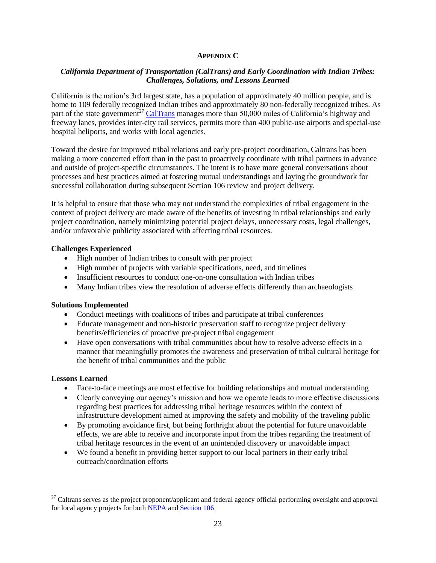#### **APPENDIX C**

# *California Department of Transportation (CalTrans) and Early Coordination with Indian Tribes: Challenges, Solutions, and Lessons Learned*

California is the nation's 3rd largest state, has a population of approximately 40 million people, and is home to 109 federally recognized Indian tribes and approximately 80 non-federally recognized tribes. As part of the state government<sup>27</sup> [CalTrans](http://www.dot.ca.gov/) manages more than 50,000 miles of California's highway and freeway lanes, provides inter-city rail services, permits more than 400 public-use airports and special-use hospital heliports, and works with local agencies.

Toward the desire for improved tribal relations and early pre-project coordination, Caltrans has been making a more concerted effort than in the past to proactively coordinate with tribal partners in advance and outside of project-specific circumstances. The intent is to have more general conversations about processes and best practices aimed at fostering mutual understandings and laying the groundwork for successful collaboration during subsequent Section 106 review and project delivery.

It is helpful to ensure that those who may not understand the complexities of tribal engagement in the context of project delivery are made aware of the benefits of investing in tribal relationships and early project coordination, namely minimizing potential project delays, unnecessary costs, legal challenges, and/or unfavorable publicity associated with affecting tribal resources.

#### **Challenges Experienced**

- High number of Indian tribes to consult with per project
- High number of projects with variable specifications, need, and timelines
- Insufficient resources to conduct one-on-one consultation with Indian tribes
- Many Indian tribes view the resolution of adverse effects differently than archaeologists

#### **Solutions Implemented**

- Conduct meetings with coalitions of tribes and participate at tribal conferences
- Educate management and non-historic preservation staff to recognize project delivery benefits/efficiencies of proactive pre-project tribal engagement
- Have open conversations with tribal communities about how to resolve adverse effects in a manner that meaningfully promotes the awareness and preservation of tribal cultural heritage for the benefit of tribal communities and the public

#### **Lessons Learned**

- Face-to-face meetings are most effective for building relationships and mutual understanding
- Clearly conveying our agency's mission and how we operate leads to more effective discussions regarding best practices for addressing tribal heritage resources within the context of infrastructure development aimed at improving the safety and mobility of the traveling public
- By promoting avoidance first, but being forthright about the potential for future unavoidable effects, we are able to receive and incorporate input from the tribes regarding the treatment of tribal heritage resources in the event of an unintended discovery or unavoidable impact
- We found a benefit in providing better support to our local partners in their early tribal outreach/coordination efforts

 $^{27}$  Caltrans serves as the project proponent/applicant and federal agency official performing oversight and approval for local agency projects for both [NEPA](http://www.dot.ca.gov/env/nepa/) and [Section 106](http://www.dot.ca.gov/env/cultural/section-106-program-agreement.html)